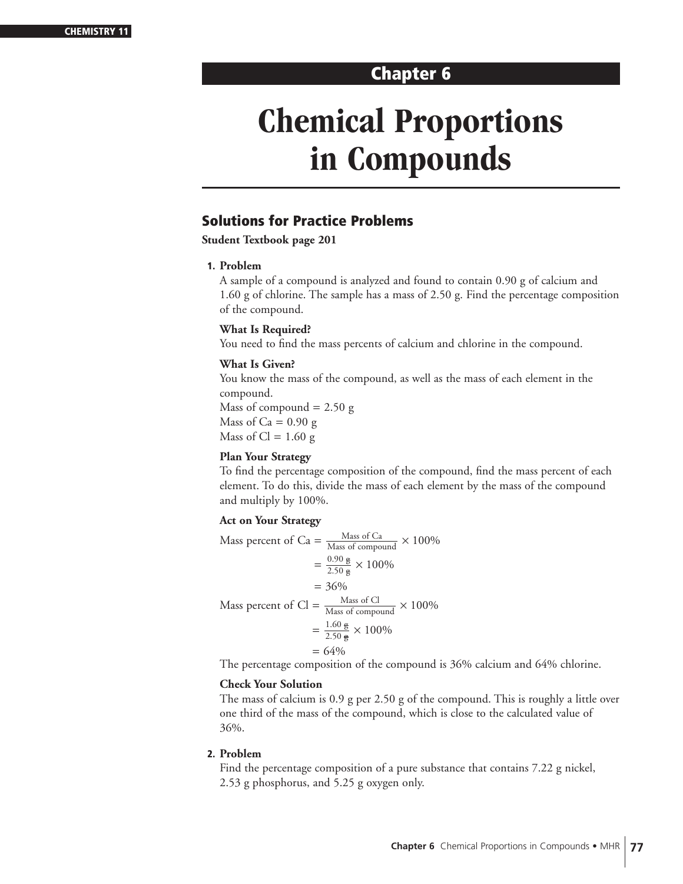# **Chapter 6**

# **Chemical Proportions in Compounds**

# **Solutions for Practice Problems**

**Student Textbook page 201**

# **1. Problem**

A sample of a compound is analyzed and found to contain 0.90 g of calcium and 1.60 g of chlorine. The sample has a mass of 2.50 g. Find the percentage composition of the compound.

# **What Is Required?**

You need to find the mass percents of calcium and chlorine in the compound.

# **What Is Given?**

You know the mass of the compound, as well as the mass of each element in the compound. Mass of compound  $= 2.50$  g Mass of Ca =  $0.90 \text{ g}$ Mass of  $Cl = 1.60$  g

# **Plan Your Strategy**

To find the percentage composition of the compound, find the mass percent of each element. To do this, divide the mass of each element by the mass of the compound and multiply by 100%.

# **Act on Your Strategy**

Mass percent of Ca =  $\frac{\text{Mass of Ca}}{\text{Mass of compound}} \times 100\%$  $=\frac{0.90 \text{ g}}{2.50 \text{ g}} \times 100\%$  $= 36\%$ Mass percent of Cl =  $\frac{\text{Mass of Cl}}{\text{Mass of compound}} \times 100\%$  $=\frac{1.60 \text{ g}}{2.50 \text{ g}} \times 100\%$  $= 64\%$ 

The percentage composition of the compound is 36% calcium and 64% chlorine.

# **Check Your Solution**

The mass of calcium is 0.9 g per 2.50 g of the compound. This is roughly a little over one third of the mass of the compound, which is close to the calculated value of 36%.

# **2. Problem**

Find the percentage composition of a pure substance that contains 7.22 g nickel, 2.53 g phosphorus, and 5.25 g oxygen only.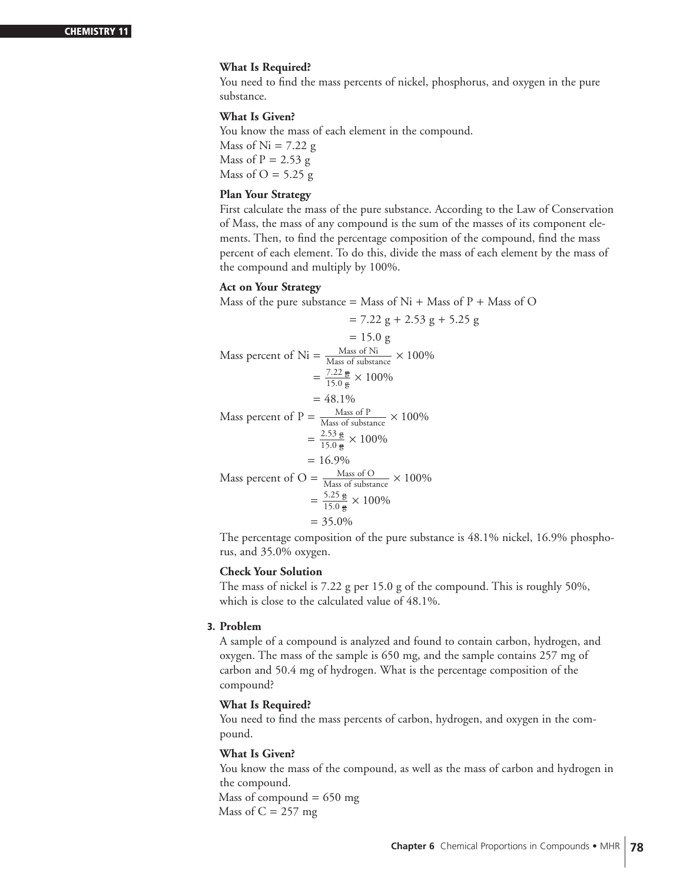# **What Is Required?**

You need to find the mass percents of nickel, phosphorus, and oxygen in the pure substance.

# **What Is Given?**

You know the mass of each element in the compound. Mass of  $Ni = 7.22$  g Mass of  $P = 2.53$  g Mass of  $O = 5.25$  g

# **Plan Your Strategy**

First calculate the mass of the pure substance. According to the Law of Conservation of Mass, the mass of any compound is the sum of the masses of its component elements. Then, to find the percentage composition of the compound, find the mass percent of each element. To do this, divide the mass of each element by the mass of the compound and multiply by 100%.

# **Act on Your Strategy**

Mass of the pure substance = Mass of  $Ni + Mass$  of  $P + Mass$  of O

$$
= 7.22 \text{ g} + 2.53 \text{ g} + 5.25 \text{ g}
$$
  
\n
$$
= 15.0 \text{ g}
$$
  
\nMass percent of Ni =  $\frac{\text{Mass of Ni}}{\text{Mass of substance}} \times 100\%$   
\n
$$
= \frac{7.22 \text{ g}}{15.0 \text{ g}} \times 100\%
$$
  
\n
$$
= 48.1\%
$$
  
\nMass percent of P =  $\frac{\text{Mass of P}}{\text{Mass of substance}} \times 100\%$   
\n
$$
= \frac{2.53 \text{ g}}{15.0 \text{ g}} \times 100\%
$$
  
\n
$$
= 16.9\%
$$
  
\nMass percent of O =  $\frac{\text{Mass of O}}{\text{Mass of substance}} \times 100\%$   
\n
$$
= \frac{5.25 \text{ g}}{15.0 \text{ g}} \times 100\%
$$
  
\n
$$
= \frac{5.25 \text{ g}}{15.0 \text{ g}} \times 100\%
$$
  
\n
$$
= 35.0\%
$$

The percentage composition of the pure substance is 48.1% nickel, 16.9% phosphorus, and 35.0% oxygen.

# **Check Your Solution**

The mass of nickel is 7.22 g per 15.0 g of the compound. This is roughly 50%, which is close to the calculated value of 48.1%.

# **3. Problem**

A sample of a compound is analyzed and found to contain carbon, hydrogen, and oxygen. The mass of the sample is 650 mg, and the sample contains 257 mg of carbon and 50.4 mg of hydrogen. What is the percentage composition of the compound?

# **What Is Required?**

You need to find the mass percents of carbon, hydrogen, and oxygen in the compound.

# **What Is Given?**

You know the mass of the compound, as well as the mass of carbon and hydrogen in the compound.

Mass of compound  $= 650$  mg Mass of  $C = 257$  mg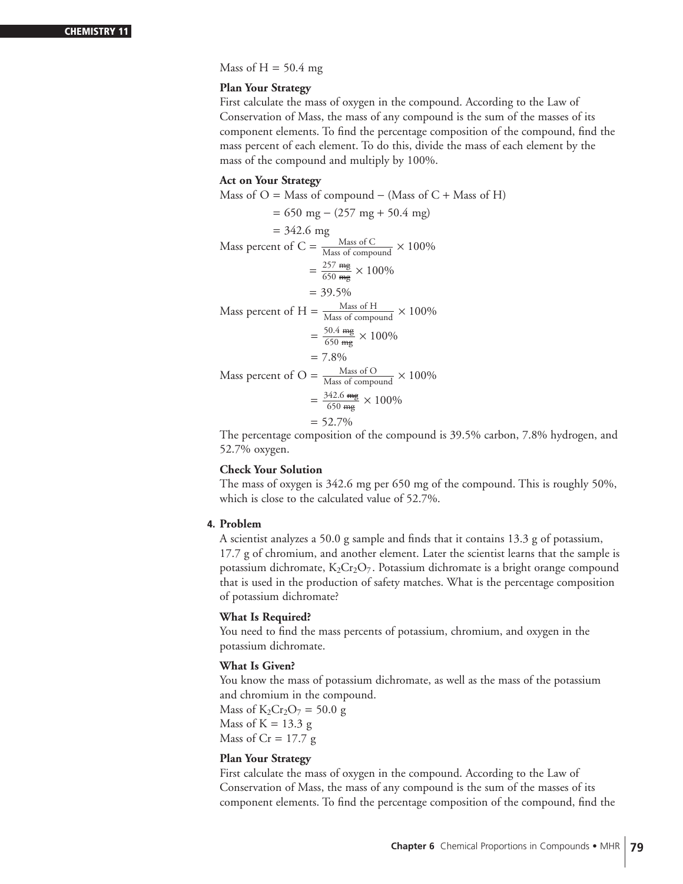Mass of  $H = 50.4$  mg

# **Plan Your Strategy**

First calculate the mass of oxygen in the compound. According to the Law of Conservation of Mass, the mass of any compound is the sum of the masses of its component elements. To find the percentage composition of the compound, find the mass percent of each element. To do this, divide the mass of each element by the mass of the compound and multiply by 100%.

# **Act on Your Strategy**

Mass of  $O =$  Mass of compound – (Mass of  $C +$  Mass of H)

= 650 mg − (257 mg + 50.4 mg)  $= 342.6$  mg Mass percent of C =  $\frac{\text{Mass of C}}{\text{Mass of compound}} \times 100\%$  $=\frac{257 \text{ mg}}{650 \text{ mg}} \times 100\%$  $= 39.5\%$ Mass percent of H =  $\frac{\text{Mass of H}}{\text{Mass of compound}} \times 100\%$  $=\frac{50.4 \text{ mg}}{650 \text{ mg}} \times 100\%$  $= 7.8\%$ Mass percent of O =  $\frac{\text{Mass of O}}{\text{Mass of compound}} \times 100\%$  $=\frac{342.6 \text{ mg}}{650 \text{ mg}} \times 100\%$  $= 52.7\%$ 

The percentage composition of the compound is 39.5% carbon, 7.8% hydrogen, and 52.7% oxygen.

# **Check Your Solution**

The mass of oxygen is 342.6 mg per 650 mg of the compound. This is roughly 50%, which is close to the calculated value of 52.7%.

# **4. Problem**

A scientist analyzes a 50.0 g sample and finds that it contains 13.3 g of potassium, 17.7 g of chromium, and another element. Later the scientist learns that the sample is potassium dichromate,  $K_2Cr_2O_7$ . Potassium dichromate is a bright orange compound that is used in the production of safety matches. What is the percentage composition of potassium dichromate?

#### **What Is Required?**

You need to find the mass percents of potassium, chromium, and oxygen in the potassium dichromate.

#### **What Is Given?**

You know the mass of potassium dichromate, as well as the mass of the potassium and chromium in the compound.

Mass of  $K_2Cr_2O_7 = 50.0 g$ Mass of  $K = 13.3$  g Mass of  $Cr = 17.7 g$ 

# **Plan Your Strategy**

First calculate the mass of oxygen in the compound. According to the Law of Conservation of Mass, the mass of any compound is the sum of the masses of its component elements. To find the percentage composition of the compound, find the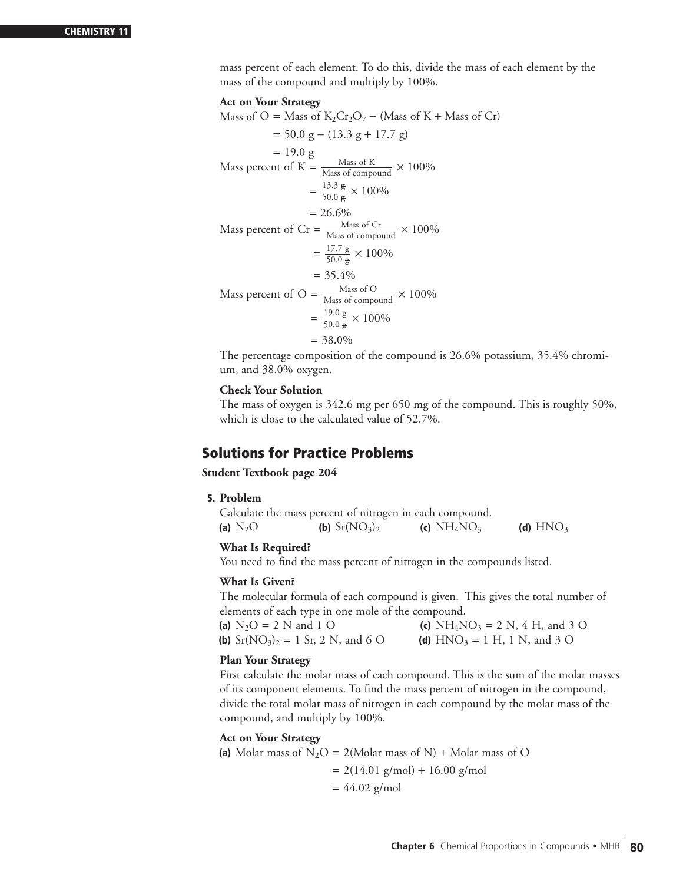mass percent of each element. To do this, divide the mass of each element by the mass of the compound and multiply by 100%.

#### **Act on Your Strategy**

Mass of O = Mass of  $K_2Cr_2O_7$  – (Mass of K + Mass of Cr)  $= 50.0$  g – (13.3 g + 17.7 g)  $= 19.0 g$ Mass percent of  $K = \frac{Mass\ of\ K}{Mass\ of\ compound} \times 100\%$  $=\frac{13.3 \text{ g}}{50.0 \text{ g}} \times 100\%$  $= 26.6\%$ Mass percent of Cr =  $\frac{\text{Mass of Cr}}{\text{Mass of compound}} \times 100\%$  $=\frac{17.7 \text{ g}}{50.0 \text{ g}} \times 100\%$  $= 35.4%$ Mass percent of O =  $\frac{\text{Mass of O}}{\text{Mass of compound}} \times 100\%$  $=\frac{19.0 \text{ g}}{50.0 \text{ g}} \times 100\%$  $= 38.0\%$ 

The percentage composition of the compound is 26.6% potassium, 35.4% chromium, and 38.0% oxygen.

# **Check Your Solution**

The mass of oxygen is 342.6 mg per 650 mg of the compound. This is roughly 50%, which is close to the calculated value of 52.7%.

# **Solutions for Practice Problems**

**Student Textbook page 204**

# **5. Problem**

Calculate the mass percent of nitrogen in each compound. **(a)**  $N_2O$  **(b)**  $Sr(NO_3)_2$  **(c)**  $NH_4NO_3$  **(d)**  $HNO_3$ 

# **What Is Required?**

You need to find the mass percent of nitrogen in the compounds listed.

# **What Is Given?**

The molecular formula of each compound is given. This gives the total number of elements of each type in one mole of the compound.

| (a) $N_2O = 2 N$ and 1 O                         | (c) $NH_4NO_3 = 2 N$ , 4 H, and 3 O |
|--------------------------------------------------|-------------------------------------|
| <b>(b)</b> $Sr(NO_3)_2 = 1$ $Sr, 2$ $N,$ and 6 O | (d) $HNO_3 = 1 H$ , 1 N, and 3 O    |

# **Plan Your Strategy**

First calculate the molar mass of each compound. This is the sum of the molar masses of its component elements. To find the mass percent of nitrogen in the compound, divide the total molar mass of nitrogen in each compound by the molar mass of the compound, and multiply by 100%.

#### **Act on Your Strategy**

(a) Molar mass of  $N_2O = 2$ (Molar mass of N) + Molar mass of O  $= 2(14.01 \text{ g/mol}) + 16.00 \text{ g/mol}$  $= 44.02$  g/mol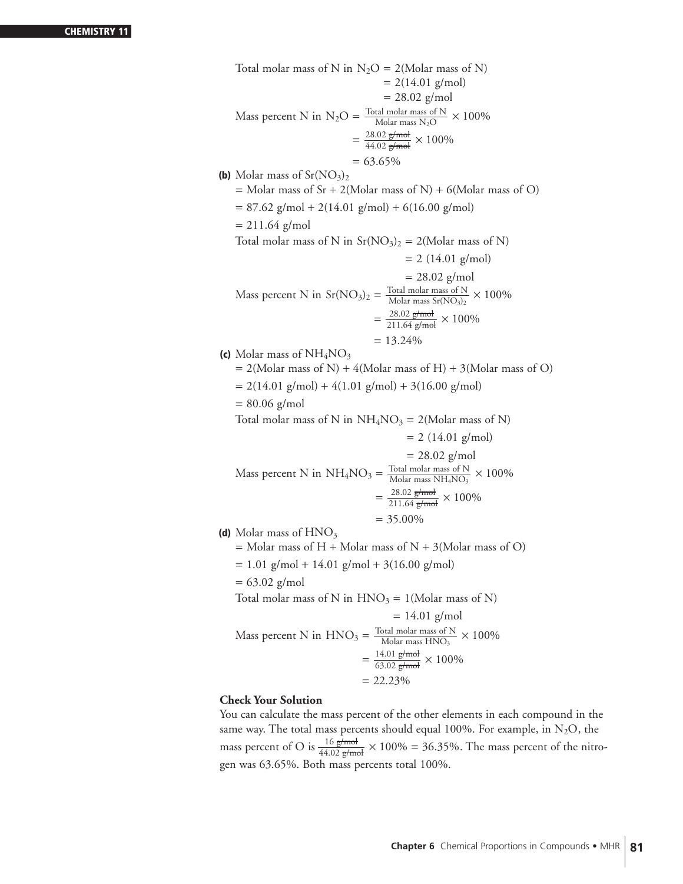#### **CHEMISTRY 11**

Total molar mass of N in  $N_2O = 2(Molar mass of N)$  $= 2(14.01 \text{ g/mol})$  $= 28.02$  g/mol Mass percent N in  $N_2O = \frac{\text{Total molar mass of N}}{\text{Molar mass } N_2O} \times 100\%$  $=\frac{28.02 \text{ g/mol}}{44.02 \text{ g/mol}} \times 100\%$  $= 63.65\%$ **(b)** Molar mass of  $Sr(NO<sub>3</sub>)<sub>2</sub>$  $=$  Molar mass of Sr + 2(Molar mass of N) + 6(Molar mass of O)  $= 87.62$  g/mol + 2(14.01 g/mol) + 6(16.00 g/mol)  $= 211.64$  g/mol Total molar mass of N in  $Sr(NO<sub>3</sub>)<sub>2</sub> = 2(Molar mass of N)$  $= 2$  (14.01 g/mol)  $= 28.02$  g/mol Mass percent N in Sr(NO<sub>3</sub>)<sub>2</sub> =  $\frac{\text{Total molar mass of N}}{\text{Molar mass Sr(NO3)_2}} \times 100\%$  $=\frac{28.02 \text{ g/mol}}{211.64 \text{ g/mol}} \times 100\%$  $= 13.24\%$ **(c)** Molar mass of NH<sub>4</sub>NO<sub>3</sub>  $= 2$ (Molar mass of N) + 4(Molar mass of H) + 3(Molar mass of O)  $= 2(14.01 \text{ g/mol}) + 4(1.01 \text{ g/mol}) + 3(16.00 \text{ g/mol})$  $= 80.06$  g/mol Total molar mass of N in  $NH_4NO_3 = 2(Molar mass of N)$  $= 2$  (14.01 g/mol)  $= 28.02$  g/mol Mass percent N in NH<sub>4</sub>NO<sub>3</sub> =  $\frac{\text{Total molar mass of N}}{\text{Molar mass NH}_4\text{NO}_3} \times 100\%$  $=\frac{28.02 \text{ g/mol}}{211.64 \text{ g/mol}} \times 100\%$  $= 35.00\%$ **(d)** Molar mass of  $HNO<sub>3</sub>$  $=$  Molar mass of H + Molar mass of N + 3(Molar mass of O)  $= 1.01$  g/mol + 14.01 g/mol + 3(16.00 g/mol)  $= 63.02$  g/mol Total molar mass of N in  $HNO<sub>3</sub> = 1$ (Molar mass of N)  $= 14.01$  g/mol Mass percent N in  $HNO_3 = \frac{\text{Total molar mass of N}}{\text{Molar mass HNO}_3} \times 100\%$  $=\frac{14.01 \text{ g/mol}}{63.02 \text{ g/mol}} \times 100\%$  $= 22.23%$ 

# **Check Your Solution**

You can calculate the mass percent of the other elements in each compound in the same way. The total mass percents should equal 100%. For example, in  $N_2O$ , the mass percent of O is  $\frac{16 \text{ g/mol}}{44.02 \text{ g/mol}} \times 100\% = 36.35\%$ . The mass percent of the nitrogen was 63.65%. Both mass percents total 100%.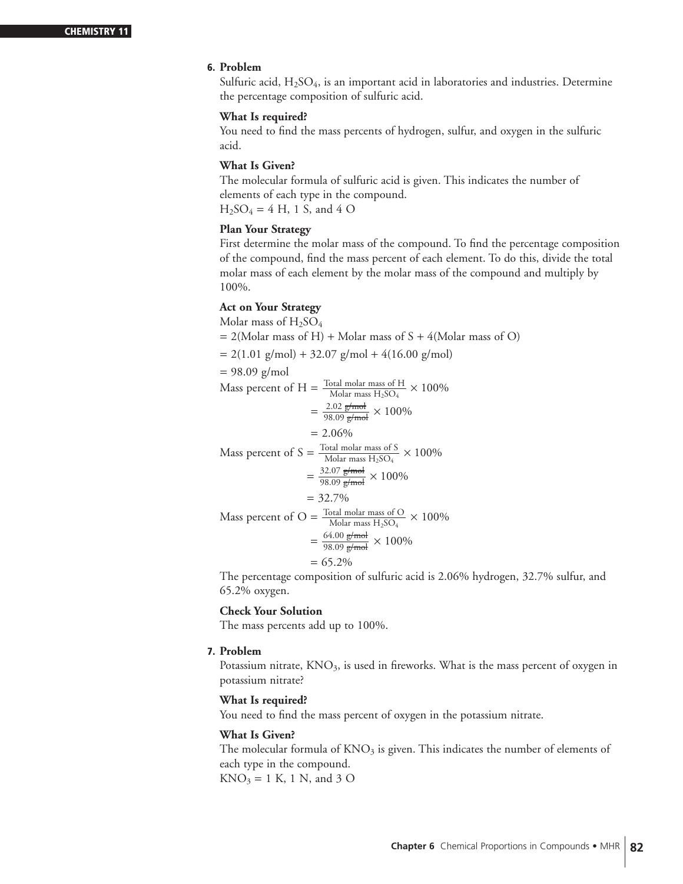# **6. Problem**

Sulfuric acid,  $H_2SO_4$ , is an important acid in laboratories and industries. Determine the percentage composition of sulfuric acid.

# **What Is required?**

You need to find the mass percents of hydrogen, sulfur, and oxygen in the sulfuric acid.

# **What Is Given?**

The molecular formula of sulfuric acid is given. This indicates the number of elements of each type in the compound.  $H_2SO_4 = 4 H$ , 1 S, and 4 O

# **Plan Your Strategy**

First determine the molar mass of the compound. To find the percentage composition of the compound, find the mass percent of each element. To do this, divide the total molar mass of each element by the molar mass of the compound and multiply by 100%.

# **Act on Your Strategy**

Molar mass of  $H_2SO_4$  $= 2$ (Molar mass of H) + Molar mass of S + 4(Molar mass of O)  $= 2(1.01 \text{ g/mol}) + 32.07 \text{ g/mol} + 4(16.00 \text{ g/mol})$  $= 98.09$  g/mol Mass percent of H =  $\frac{\text{Total molar mass of H}}{\text{Molar mass H}_2\text{SO}_4} \times 100\%$  $=\frac{2.02 \text{ g/mol}}{98.09 \text{ g/mol}} \times 100\%$  $= 2.06\%$ Mass percent of S =  $\frac{\text{Total molar mass of S}}{\text{Molar mass H}_2\text{SO}_4} \times 100\%$  $=\frac{32.07 \text{ g/mol}}{98.09 \text{ g/mol}} \times 100\%$  $= 32.7\%$ Mass percent of O =  $\frac{\text{Total molar mass of O}}{\text{Molar mass H}_2\text{SO}_4} \times 100\%$  $=\frac{64.00 \text{ g/mol}}{98.09 \text{ g/mol}} \times 100\%$  $= 65.2\%$ 

The percentage composition of sulfuric acid is 2.06% hydrogen, 32.7% sulfur, and 65.2% oxygen.

# **Check Your Solution**

The mass percents add up to 100%.

#### **7. Problem**

Potassium nitrate,  $KNO<sub>3</sub>$ , is used in fireworks. What is the mass percent of oxygen in potassium nitrate?

# **What Is required?**

You need to find the mass percent of oxygen in the potassium nitrate.

# **What Is Given?**

The molecular formula of  $KNO<sub>3</sub>$  is given. This indicates the number of elements of each type in the compound.  $KNO_3 = 1 K$ , 1 N, and 3 O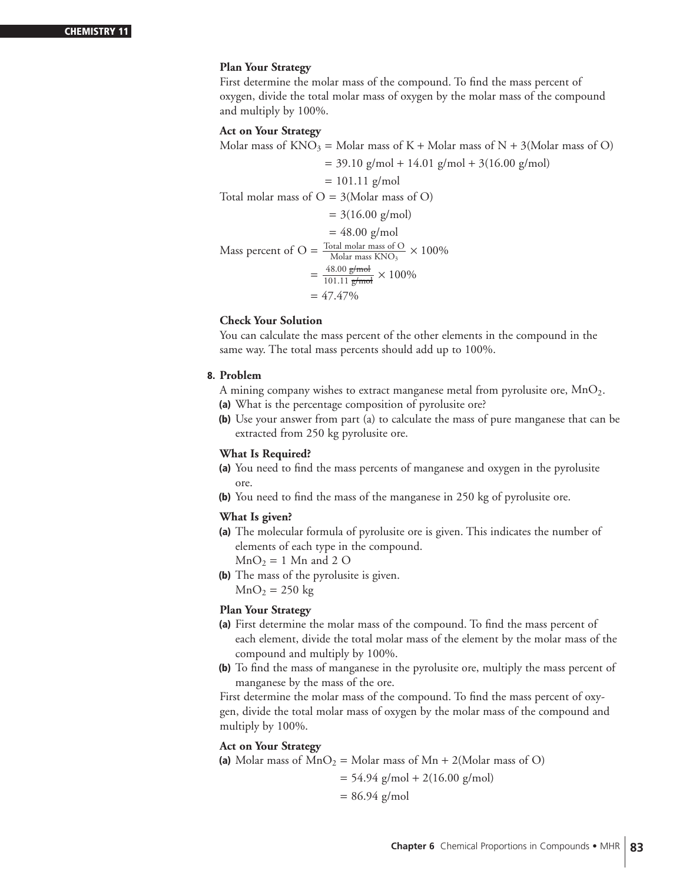# **Plan Your Strategy**

First determine the molar mass of the compound. To find the mass percent of oxygen, divide the total molar mass of oxygen by the molar mass of the compound and multiply by 100%.

#### **Act on Your Strategy**

Molar mass of  $KNO_3 = Molar$  mass of  $K + Molar$  mass of  $N + 3(Molar)$  mass of O)

 $= 39.10$  g/mol + 14.01 g/mol + 3(16.00 g/mol)

 $= 101.11$  g/mol

Total molar mass of  $O = 3$ (Molar mass of O)

$$
= 3(16.00 \text{ g/mol})
$$

 $= 48.00$  g/mol Mass percent of O =  $\frac{\text{Total molar mass of O}}{\text{Molar mass KNO}_3} \times 100\%$  $=\frac{48.00 \text{ g/mol}}{101.11 \text{ g/mol}} \times 100\%$  $= 47.47\%$ 

# **Check Your Solution**

You can calculate the mass percent of the other elements in the compound in the same way. The total mass percents should add up to 100%.

#### **8. Problem**

- A mining company wishes to extract manganese metal from pyrolusite ore,  $MnO<sub>2</sub>$ .
- **(a)** What is the percentage composition of pyrolusite ore?
- **(b)** Use your answer from part (a) to calculate the mass of pure manganese that can be extracted from 250 kg pyrolusite ore.

#### **What Is Required?**

- **(a)** You need to find the mass percents of manganese and oxygen in the pyrolusite ore.
- **(b)** You need to find the mass of the manganese in 250 kg of pyrolusite ore.

# **What Is given?**

- **(a)** The molecular formula of pyrolusite ore is given. This indicates the number of elements of each type in the compound.  $MnO<sub>2</sub> = 1$  Mn and 2 O
- **(b)** The mass of the pyrolusite is given.  $MnO<sub>2</sub> = 250 kg$

# **Plan Your Strategy**

- **(a)** First determine the molar mass of the compound. To find the mass percent of each element, divide the total molar mass of the element by the molar mass of the compound and multiply by 100%.
- **(b)** To find the mass of manganese in the pyrolusite ore, multiply the mass percent of manganese by the mass of the ore.

First determine the molar mass of the compound. To find the mass percent of oxygen, divide the total molar mass of oxygen by the molar mass of the compound and multiply by 100%.

#### **Act on Your Strategy**

(a) Molar mass of  $MnO_2 = Molar$  mass of  $Mn + 2(Molar$  mass of O)

$$
= 54.94 \text{ g/mol} + 2(16.00 \text{ g/mol})
$$

$$
= 86.94 \text{ g/mol}
$$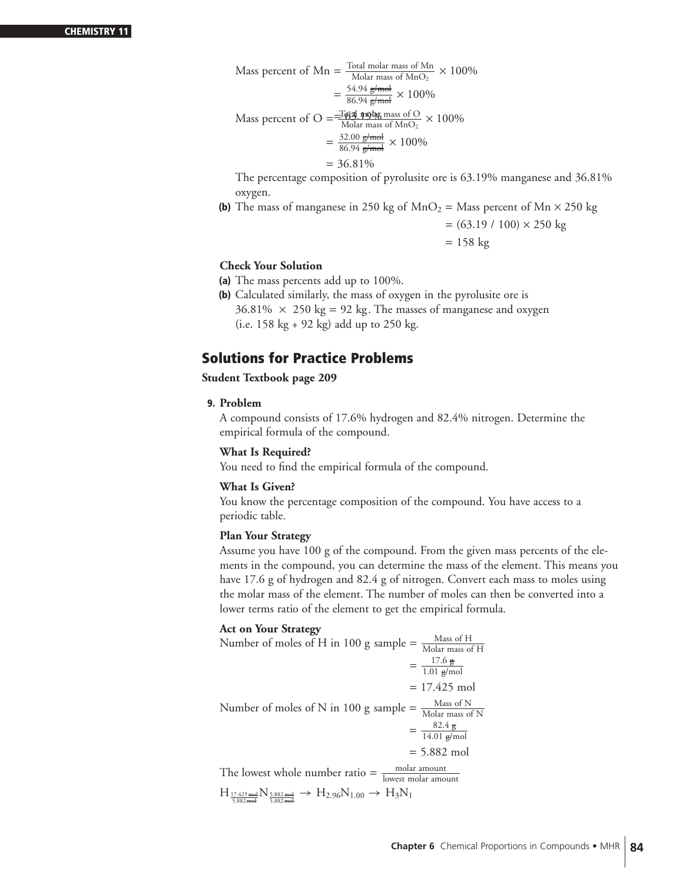Mass percent of Mn = 
$$
\frac{\text{Total molar mass of Mn}}{\text{Molar mass of MnO}_2} \times 100\%
$$

$$
= \frac{54.94 \text{ g/mol}}{86.94 \text{ g/mol}} \times 100\%
$$

$$
\text{Mass percent of O} = \frac{-\text{[44] mobjg mass of O}}{\text{Molar mass of MnO}_2} \times 100\%
$$

$$
= \frac{32.00 \text{ g/mol}}{86.94 \text{ g/mol}} \times 100\%
$$

$$
= 36.81\%
$$

The percentage composition of pyrolusite ore is 63.19% manganese and 36.81% oxygen.

**(b)** The mass of manganese in 250 kg of  $MnO_2 =$  Mass percent of  $Mn \times 250$  kg

$$
= (63.19 / 100) \times 250 \text{ kg}
$$

$$
= 158 \text{ kg}
$$

# **Check Your Solution**

- **(a)** The mass percents add up to 100%.
- **(b)** Calculated similarly, the mass of oxygen in the pyrolusite ore is  $36.81\% \times 250 \text{ kg} = 92 \text{ kg}$ . The masses of manganese and oxygen (i.e. 158 kg + 92 kg) add up to 250 kg.

# **Solutions for Practice Problems**

# **Student Textbook page 209**

**9. Problem**

A compound consists of 17.6% hydrogen and 82.4% nitrogen. Determine the empirical formula of the compound.

# **What Is Required?**

You need to find the empirical formula of the compound.

# **What Is Given?**

You know the percentage composition of the compound. You have access to a periodic table.

# **Plan Your Strategy**

Assume you have 100 g of the compound. From the given mass percents of the elements in the compound, you can determine the mass of the element. This means you have 17.6 g of hydrogen and 82.4 g of nitrogen. Convert each mass to moles using the molar mass of the element. The number of moles can then be converted into a lower terms ratio of the element to get the empirical formula.

# **Act on Your Strategy**

Number of moles of H in 100 g sample  $=$   $\frac{\text{Mass of H}}{\text{Molar mass of H}}$  $=\frac{17.6 \text{ g}}{1.01 \text{ g/mol}}$  $= 17.425$  mol Number of moles of N in 100 g sample  $=$   $\frac{\text{Mass of N}}{\text{Molar mass of N}}$  $=\frac{82.4 \text{ g}}{14.01 \text{ g/mol}}$ = 5.882 mol The lowest whole number ratio  $=$   $\frac{\text{molar amount}}{\text{lowest molar amount}}$  $\text{H}_{\frac{17.425\text{ mol}}{5.882\text{ mol}}}\text{N}_{\frac{5.882\text{ mol}}{5.882\text{ mol}}}\rightarrow\text{H}_{2.96}\text{N}_{1.00}\rightarrow\text{H}_{3}\text{N}_{1}$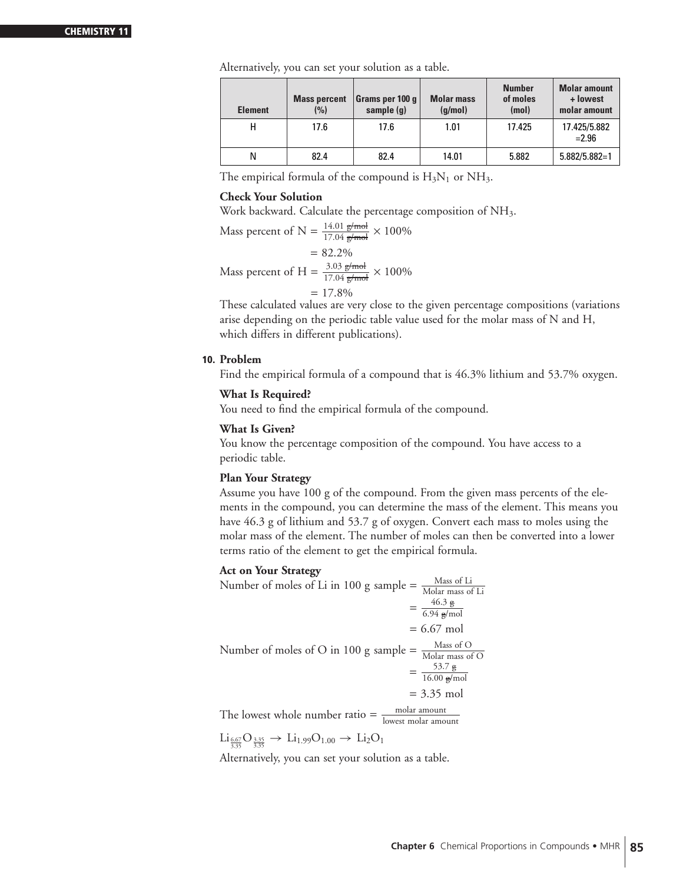Alternatively, you can set your solution as a table.

| <b>Element</b> | <b>Mass percent</b><br>(%) | Grams per 100 g $ $<br>sample $(q)$ | <b>Molar mass</b><br>(q/mol) | <b>Number</b><br>of moles<br>(mol) | <b>Molar amount</b><br>+ lowest<br>molar amount |
|----------------|----------------------------|-------------------------------------|------------------------------|------------------------------------|-------------------------------------------------|
| н              | 17.6                       | 17.6                                | 1.01                         | 17.425                             | 17.425/5.882<br>$= 2.96$                        |
| Ν              | 82.4                       | 82.4                                | 14.01                        | 5.882                              | $5.882/5.882=1$                                 |

The empirical formula of the compound is  $H_3N_1$  or  $NH_3$ .

# **Check Your Solution**

Work backward. Calculate the percentage composition of NH<sub>3</sub>.

Mass percent of N =  $\frac{14.01 \text{ g/mol}}{17.04 \text{ g/mol}} \times 100\%$  $= 82.2%$ Mass percent of H =  $\frac{3.03 \text{ g/mol}}{17.04 \text{ g/mol}} \times 100\%$  $= 17.8\%$ 

These calculated values are very close to the given percentage compositions (variations arise depending on the periodic table value used for the molar mass of N and H, which differs in different publications).

#### **10. Problem**

Find the empirical formula of a compound that is 46.3% lithium and 53.7% oxygen.

#### **What Is Required?**

You need to find the empirical formula of the compound.

#### **What Is Given?**

You know the percentage composition of the compound. You have access to a periodic table.

#### **Plan Your Strategy**

Assume you have 100 g of the compound. From the given mass percents of the elements in the compound, you can determine the mass of the element. This means you have 46.3 g of lithium and 53.7 g of oxygen. Convert each mass to moles using the molar mass of the element. The number of moles can then be converted into a lower terms ratio of the element to get the empirical formula.

# **Act on Your Strategy**

Number of moles of Li in 100 g sample  $=$   $\frac{\text{Mass of Li}}{\text{Molar mass of Li}}$  $=\frac{46.3 \text{ g}}{6.94 \text{ g/mol}}$  $= 6.67$  mol Number of moles of O in 100 g sample  $=$   $\frac{\text{Mass of O}}{\text{Molar mass of O}}$  $=\frac{53.7 \text{ g}}{16.00 \text{ g/mol}}$ = 3.35 mol

The lowest whole number ratio  $=$   $\frac{\text{molar amount}}{\text{lowest molar amount}}$ 

 $\mathrm{Li}_{\frac{6.67}{3.35}}\mathrm{O}_{\frac{3.35}{3.35}} \to \mathrm{Li}_{1.99}\mathrm{O}_{1.00} \to \mathrm{Li}_2\mathrm{O}_1$ 

Alternatively, you can set your solution as a table.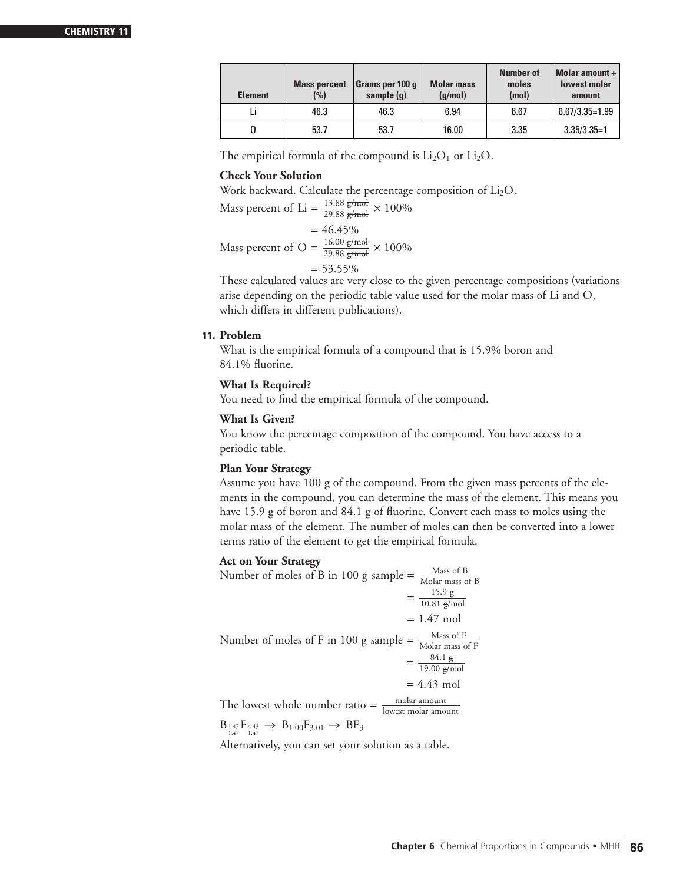#### **CHEMISTRY**

| <b>Element</b> | <b>Mass percent</b><br>(%) | Grams per 100 $q$<br>sample (q) | <b>Molar mass</b><br>(q/mol) | <b>Number of</b><br>moles<br>(mol) | Molar amount +<br>lowest molar<br>amount |
|----------------|----------------------------|---------------------------------|------------------------------|------------------------------------|------------------------------------------|
|                | 46.3                       | 46.3                            | 6.94                         | 6.67                               | $6.67/3.35=1.99$                         |
|                | 53.7                       | 53.7                            | 16.00                        | 3.35                               | $3.35/3.35=1$                            |

The empirical formula of the compound is  $Li<sub>2</sub>O<sub>1</sub>$  or  $Li<sub>2</sub>O$ .

# **Check Your Solution**

Work backward. Calculate the percentage composition of Li<sub>2</sub>O.

Mass percent of Li = 
$$
\frac{13.88 \text{ g/mol}}{29.88 \text{ g/mol}} \times 100\%
$$
  
= 46.45%

Mass percent of O =  $\frac{16.00 \text{ g/mol}}{29.88 \text{ g/mol}} \times 100\%$ 

 $= 53.55\%$ 

These calculated values are very close to the given percentage compositions (variations arise depending on the periodic table value used for the molar mass of Li and O, which differs in different publications).

# **11. Problem**

What is the empirical formula of a compound that is 15.9% boron and 84.1% fluorine.

# **What Is Required?**

You need to find the empirical formula of the compound.

# **What Is Given?**

You know the percentage composition of the compound. You have access to a periodic table.

# **Plan Your Strategy**

Assume you have 100 g of the compound. From the given mass percents of the elements in the compound, you can determine the mass of the element. This means you have 15.9 g of boron and 84.1 g of fluorine. Convert each mass to moles using the molar mass of the element. The number of moles can then be converted into a lower terms ratio of the element to get the empirical formula.

#### **Act on Your Strategy**

Number of moles of B in 100 g sample  $=$   $\frac{\text{Mass of B}}{\text{Molar mass of B}}$  $=\frac{15.9 \text{ g}}{10.81 \text{ g/mol}}$  $= 1.47$  mol Number of moles of F in 100 g sample  $=$   $\frac{\text{Mass of F}}{\text{Molar mass of F}}$  $=\frac{84.1 \text{ g}}{19.00 \text{ g/mol}}$  $= 4.43$  mol

The lowest whole number ratio  $=$   $\frac{\text{molar amount}}{\text{lowest molar amount}}$  $B_{\frac{1.47}{1.47}}F_{\frac{4.43}{1.47}} \rightarrow B_{1.00}F_{3.01} \rightarrow BF_{3}$ 

Alternatively, you can set your solution as a table.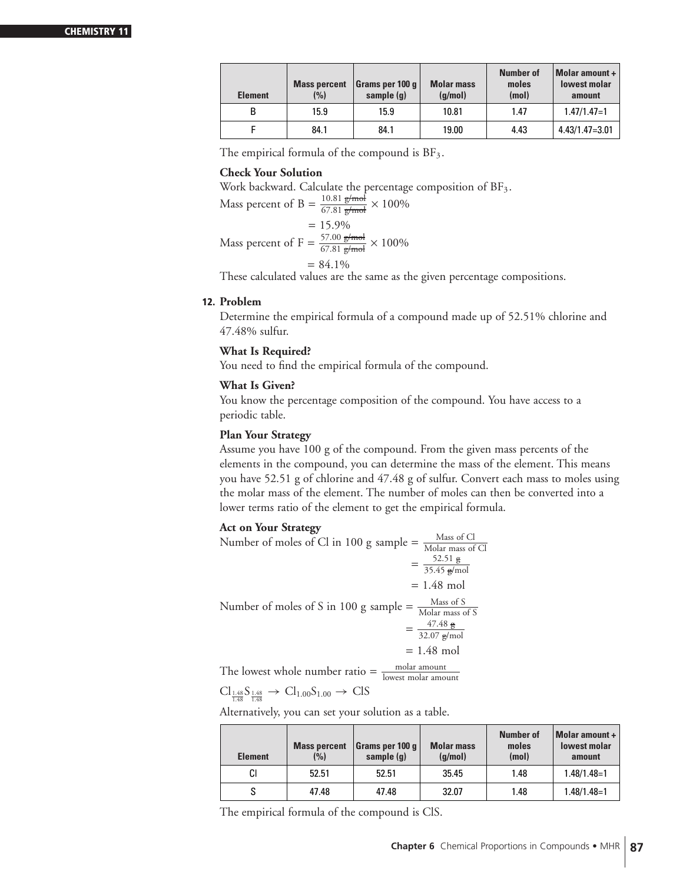| <b>Element</b> | <b>Mass percent</b><br>(%) | Grams per 100 g<br>sample (q) | <b>Molar mass</b><br>(q/mol) | <b>Number of</b><br>moles<br>(mol) | Molar amount $+$<br>lowest molar<br>amount |
|----------------|----------------------------|-------------------------------|------------------------------|------------------------------------|--------------------------------------------|
| в              | 15.9                       | 15.9                          | 10.81                        | 1.47                               | $1.47/1.47=1$                              |
|                | 84.1                       | 84.1                          | 19.00                        | 4.43                               | $4.43/1.47 = 3.01$                         |

The empirical formula of the compound is  $BF_3$ .

#### **Check Your Solution**

Work backward. Calculate the percentage composition of  $BF_3$ .

Mass percent of B = 
$$
\frac{10.81 \text{ g/mol}}{67.81 \text{ g/mol}} \times 100\%
$$

$$
= 15.9\%
$$
  
Mass percent of F =  $\frac{57.00 \text{ g/mol}}{67.81 \text{ g/mol}} \times 100\%$ 

$$
= 84.1\%
$$

These calculated values are the same as the given percentage compositions.

# **12. Problem**

Determine the empirical formula of a compound made up of 52.51% chlorine and 47.48% sulfur.

# **What Is Required?**

You need to find the empirical formula of the compound.

# **What Is Given?**

You know the percentage composition of the compound. You have access to a periodic table.

# **Plan Your Strategy**

Assume you have 100 g of the compound. From the given mass percents of the elements in the compound, you can determine the mass of the element. This means you have 52.51 g of chlorine and 47.48 g of sulfur. Convert each mass to moles using the molar mass of the element. The number of moles can then be converted into a lower terms ratio of the element to get the empirical formula.

# **Act on Your Strategy**

Number of moles of Cl in 100 g sample  $=$   $\frac{\text{Mass of Cl}}{\text{Molar mass of Cl}}$  $=\frac{52.51 \text{ g}}{35.45 \text{ g/mol}}$  $= 1.48$  mol Number of moles of S in 100 g sample  $=\frac{Mass of S}{Molar mass}$ Molar mass of S  $=\frac{47.48 \text{ g}}{32.07 \text{ g/mol}}$  $= 1.48$  mol The lowest whole number ratio  $=$   $\frac{\text{molar amount}}{\text{lowest molar amount}}$ 

 $\text{Cl}_{\frac{1.48}{1.48}}\text{S}_{\frac{1.48}{1.48}} \rightarrow \text{Cl}_{1.00}\text{S}_{1.00} \rightarrow \text{CIS}$ 

Alternatively, you can set your solution as a table.

| <b>Element</b> | <b>Mass percent</b><br>(%) | Grams per 100 q<br>sample (q) | <b>Molar mass</b><br>(q/mol) | <b>Number of</b><br>moles<br>(mol) | <b>Molar amount +</b><br><b>lowest molar</b><br>amount |
|----------------|----------------------------|-------------------------------|------------------------------|------------------------------------|--------------------------------------------------------|
| СI             | 52.51                      | 52.51                         | 35.45                        | 1.48                               | $1.48/1.48=1$                                          |
| S              | 47.48                      | 47.48                         | 32.07                        | 1.48                               | $1.48/1.48=1$                                          |

The empirical formula of the compound is ClS.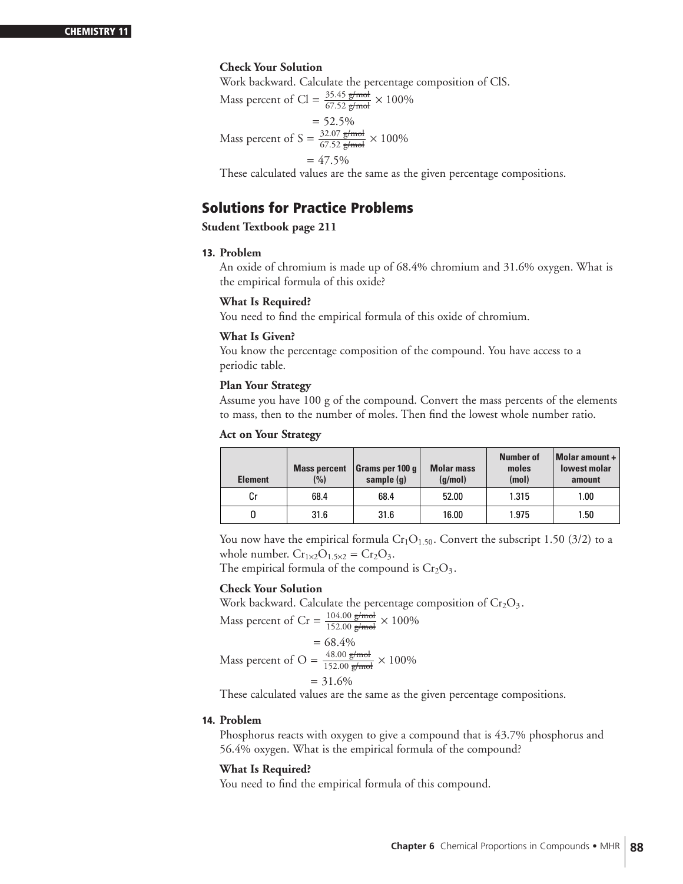# **Check Your Solution**

Work backward. Calculate the percentage composition of ClS.

Mass percent of Cl =  $\frac{35.45 \text{ g/mol}}{67.52 \text{ g/mol}} \times 100\%$  $= 52.5%$ Mass percent of S =  $\frac{32.07 \text{ g/mol}}{67.52 \text{ g/mol}} \times 100\%$  $= 47.5%$ 

These calculated values are the same as the given percentage compositions.

# **Solutions for Practice Problems**

**Student Textbook page 211**

# **13. Problem**

An oxide of chromium is made up of 68.4% chromium and 31.6% oxygen. What is the empirical formula of this oxide?

#### **What Is Required?**

You need to find the empirical formula of this oxide of chromium.

#### **What Is Given?**

You know the percentage composition of the compound. You have access to a periodic table.

#### **Plan Your Strategy**

Assume you have 100 g of the compound. Convert the mass percents of the elements to mass, then to the number of moles. Then find the lowest whole number ratio.

#### **Act on Your Strategy**

| <b>Element</b> | <b>Mass percent</b><br>(%) | Grams per 100 q<br>sample (q) | <b>Molar mass</b><br>(q/mol) | Number of<br>moles<br>(mol) | Molar amount +<br><b>lowest molar</b><br>amount |
|----------------|----------------------------|-------------------------------|------------------------------|-----------------------------|-------------------------------------------------|
| Сr             | 68.4                       | 68.4                          | 52.00                        | 1.315                       | 1.00                                            |
|                | 31.6                       | 31.6                          | 16.00                        | 1.975                       | 1.50                                            |

You now have the empirical formula  $Cr_1O_{1.50}$ . Convert the subscript 1.50 (3/2) to a whole number.  $Cr_{1\times2}O_{1.5\times2} = Cr_2O_3$ .

The empirical formula of the compound is  $Cr<sub>2</sub>O<sub>3</sub>$ .

# **Check Your Solution**

Work backward. Calculate the percentage composition of  $Cr_2O_3$ .

Mass percent of Cr = 
$$
\frac{104.00 \text{ g/mol}}{152.00 \text{ g/mol}} \times 100\%
$$
  
= 68.4%  
Mass percent of O = 
$$
\frac{48.00 \text{ g/mol}}{152.00 \text{ g/mol}} \times 100\%
$$

$$
ext{of } O = \frac{6}{152.00 \text{ g/mol}} \times
$$

$$
= 31.6\%
$$

These calculated values are the same as the given percentage compositions.

# **14. Problem**

Phosphorus reacts with oxygen to give a compound that is 43.7% phosphorus and 56.4% oxygen. What is the empirical formula of the compound?

# **What Is Required?**

You need to find the empirical formula of this compound.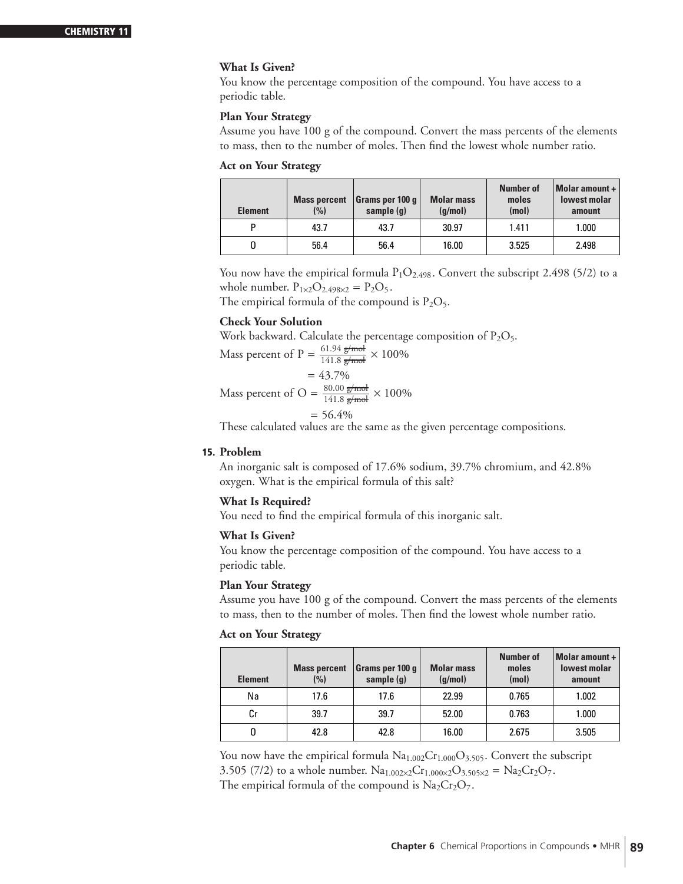# **What Is Given?**

You know the percentage composition of the compound. You have access to a periodic table.

#### **Plan Your Strategy**

Assume you have 100 g of the compound. Convert the mass percents of the elements to mass, then to the number of moles. Then find the lowest whole number ratio.

# **Act on Your Strategy**

| <b>Element</b> | <b>Mass percent</b><br>(%) | $ $ Grams per 100 q $ $<br>sample (g) | <b>Molar mass</b><br>(q/mol) | <b>Number of</b><br>moles<br>(mol) | Molar amount +<br><b>lowest molar</b><br>amount |
|----------------|----------------------------|---------------------------------------|------------------------------|------------------------------------|-------------------------------------------------|
| P              | 43.7                       | 43.7                                  | 30.97                        | 1.411                              | 1.000                                           |
|                | 56.4                       | 56.4                                  | 16.00                        | 3.525                              | 2.498                                           |

You now have the empirical formula  $P_1O_{2.498}$ . Convert the subscript 2.498 (5/2) to a whole number.  $P_{1\times 2}O_{2.498\times 2} = P_2O_5$ .

The empirical formula of the compound is  $P_2O_5$ .

# **Check Your Solution**

Work backward. Calculate the percentage composition of  $P_2O_5$ .

Mass percent of P = 
$$
\frac{61.94 \text{ g/mol}}{141.8 \text{ g/mol}} \times 100\%
$$

$$
=43.7\%
$$

Mass percent of O = 
$$
\frac{80.00 \text{ g/mol}}{141.8 \text{ g/mol}} \times 100\%
$$

$$
= 56.4\%
$$

These calculated values are the same as the given percentage compositions.

# **15. Problem**

An inorganic salt is composed of 17.6% sodium, 39.7% chromium, and 42.8% oxygen. What is the empirical formula of this salt?

# **What Is Required?**

You need to find the empirical formula of this inorganic salt.

#### **What Is Given?**

You know the percentage composition of the compound. You have access to a periodic table.

# **Plan Your Strategy**

Assume you have 100 g of the compound. Convert the mass percents of the elements to mass, then to the number of moles. Then find the lowest whole number ratio.

#### **Act on Your Strategy**

| <b>Element</b> | <b>Mass percent</b><br>(%) | Grams per 100 g $ $<br>sample (g) | <b>Molar mass</b><br>(q/mol) | Number of<br>moles<br>(mol) | Molar amount +<br><b>lowest molar</b><br>amount |
|----------------|----------------------------|-----------------------------------|------------------------------|-----------------------------|-------------------------------------------------|
| Na             | 17.6                       | 17.6                              | 22.99                        | 0.765                       | 1.002                                           |
| Сr             | 39.7                       | 39.7                              | 52.00                        | 0.763                       | 1.000                                           |
|                | 42.8                       | 42.8                              | 16.00                        | 2.675                       | 3.505                                           |

You now have the empirical formula  $Na<sub>1.002</sub>Cr<sub>1.000</sub>O<sub>3.505</sub>$ . Convert the subscript 3.505 (7/2) to a whole number.  $Na_{1.002\times2}Cr_{1.000\times2}O_{3.505\times2} = Na_2Cr_2O_7$ . The empirical formula of the compound is  $Na<sub>2</sub>Cr<sub>2</sub>O<sub>7</sub>$ .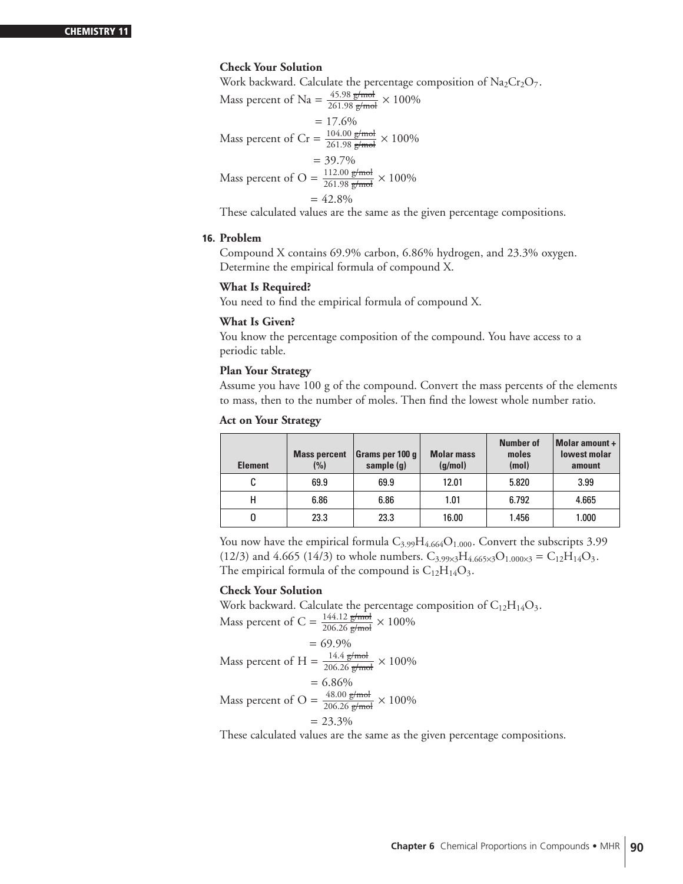# **Check Your Solution**

Work backward. Calculate the percentage composition of  $Na<sub>2</sub>Cr<sub>2</sub>O<sub>7</sub>$ .

Mass percent of Na = 
$$
\frac{45.98 \text{ g/mol}}{261.98 \text{ g/mol}} \times 100\%
$$
  
\n= 17.6%  
\nMass percent of Cr =  $\frac{104.00 \text{ g/mol}}{261.98 \text{ g/mol}} \times 100\%$   
\n= 39.7%  
\nMass percent of O =  $\frac{112.00 \text{ g/mol}}{261.98 \text{ g/mol}} \times 100\%$   
\n= 42.8%

These calculated values are the same as the given percentage compositions.

# **16. Problem**

Compound X contains 69.9% carbon, 6.86% hydrogen, and 23.3% oxygen. Determine the empirical formula of compound X.

#### **What Is Required?**

You need to find the empirical formula of compound X.

#### **What Is Given?**

You know the percentage composition of the compound. You have access to a periodic table.

#### **Plan Your Strategy**

Assume you have 100 g of the compound. Convert the mass percents of the elements to mass, then to the number of moles. Then find the lowest whole number ratio.

#### **Act on Your Strategy**

| <b>Element</b> | <b>Mass percent</b><br>(%) | Grams per 100 q  <br>sample $(q)$ | <b>Molar mass</b><br>(g/mol) | <b>Number of</b><br>moles<br>(mol) | Molar amount $+$<br><b>lowest molar</b><br>amount |
|----------------|----------------------------|-----------------------------------|------------------------------|------------------------------------|---------------------------------------------------|
| C              | 69.9                       | 69.9                              | 12.01                        | 5.820                              | 3.99                                              |
| н              | 6.86                       | 6.86                              | 1.01                         | 6.792                              | 4.665                                             |
|                | 23.3                       | 23.3                              | 16.00                        | 1.456                              | 1.000                                             |

You now have the empirical formula  $C_{3.99}H_{4.664}O_{1.000}$ . Convert the subscripts 3.99 (12/3) and 4.665 (14/3) to whole numbers.  $C_{3.99\times3}H_{4.665\times3}O_{1.000\times3} = C_{12}H_{14}O_3$ . The empirical formula of the compound is  $C_{12}H_{14}O_3$ .

# **Check Your Solution**

Work backward. Calculate the percentage composition of  $\rm{C_{12}H_{14}O_3}.$ Mass percent of C =  $\frac{144.12 \text{ g/mol}}{206.26 \text{ g/mol}} \times 100\%$ 

$$
= 69.9\%
$$

Mass percent of H =  $\frac{14.4 \text{ g/mol}}{206.26 \text{ g/mol}} \times 100\%$ 

$$
= 6.86\%
$$

Mass percent of O = 
$$
\frac{48.00 \text{ g/mol}}{206.26 \text{ g/mol}} \times 100\%
$$

$$
= 23.3\%
$$

These calculated values are the same as the given percentage compositions.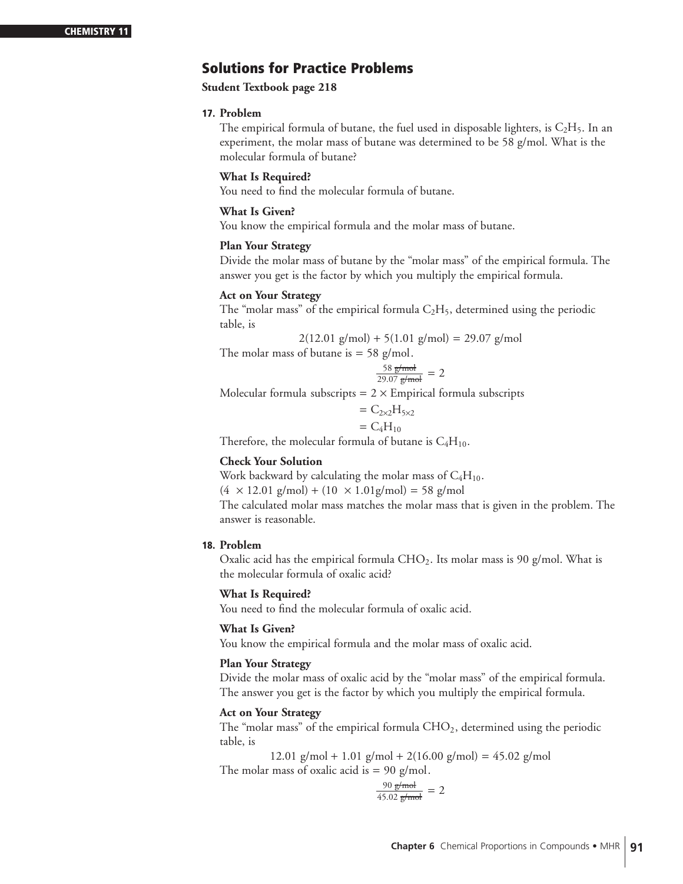# **Solutions for Practice Problems**

# **Student Textbook page 218**

# **17. Problem**

The empirical formula of butane, the fuel used in disposable lighters, is  $C_2H_5$ . In an experiment, the molar mass of butane was determined to be 58 g/mol. What is the molecular formula of butane?

# **What Is Required?**

You need to find the molecular formula of butane.

# **What Is Given?**

You know the empirical formula and the molar mass of butane.

# **Plan Your Strategy**

Divide the molar mass of butane by the "molar mass" of the empirical formula. The answer you get is the factor by which you multiply the empirical formula.

# **Act on Your Strategy**

The "molar mass" of the empirical formula  $C_2H_5$ , determined using the periodic table, is

$$
2(12.01 \text{ g/mol}) + 5(1.01 \text{ g/mol}) = 29.07 \text{ g/mol}
$$

The molar mass of butane is  $= 58$  g/mol.

$$
\frac{58 \text{ g/mol}}{29.07 \text{ g/mol}} = 2
$$

Molecular formula subscripts  $= 2 \times$  Empirical formula subscripts

$$
= C_{2\times 2}H_{5\times 2}
$$

$$
= C_4H_{10}
$$

Therefore, the molecular formula of butane is  $C_4H_{10}$ .

# **Check Your Solution**

Work backward by calculating the molar mass of  $C_4H_{10}$ .

 $(4 \times 12.01 \text{ g/mol}) + (10 \times 1.01 \text{ g/mol}) = 58 \text{ g/mol}$ 

The calculated molar mass matches the molar mass that is given in the problem. The answer is reasonable.

# **18. Problem**

Oxalic acid has the empirical formula  $CHO<sub>2</sub>$ . Its molar mass is 90 g/mol. What is the molecular formula of oxalic acid?

# **What Is Required?**

You need to find the molecular formula of oxalic acid.

# **What Is Given?**

You know the empirical formula and the molar mass of oxalic acid.

# **Plan Your Strategy**

Divide the molar mass of oxalic acid by the "molar mass" of the empirical formula. The answer you get is the factor by which you multiply the empirical formula.

# **Act on Your Strategy**

The "molar mass" of the empirical formula  $CHO<sub>2</sub>$ , determined using the periodic table, is

 $12.01$  g/mol + 1.01 g/mol + 2(16.00 g/mol) = 45.02 g/mol The molar mass of oxalic acid is  $= 90$  g/mol.

$$
\frac{90 \text{ g/mol}}{45.02 \text{ g/mol}} = 2
$$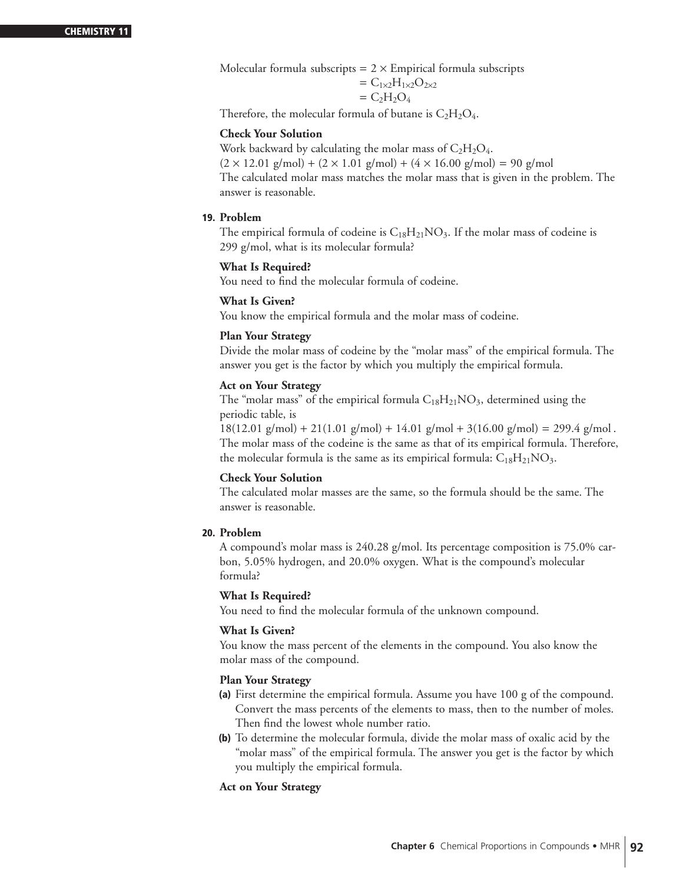Molecular formula subscripts  $= 2 \times$  Empirical formula subscripts

$$
= C_{1\times 2}H_{1\times 2}O_{2\times 2}
$$
  
= C<sub>2</sub>H<sub>2</sub>O<sub>4</sub>

Therefore, the molecular formula of butane is  $C_2H_2O_4$ .

# **Check Your Solution**

Work backward by calculating the molar mass of  $C_2H_2O_4$ .  $(2 \times 12.01 \text{ g/mol}) + (2 \times 1.01 \text{ g/mol}) + (4 \times 16.00 \text{ g/mol}) = 90 \text{ g/mol}$ The calculated molar mass matches the molar mass that is given in the problem. The answer is reasonable.

# **19. Problem**

The empirical formula of codeine is  $C_{18}H_{21}NO_3$ . If the molar mass of codeine is 299 g/mol, what is its molecular formula?

# **What Is Required?**

You need to find the molecular formula of codeine.

# **What Is Given?**

You know the empirical formula and the molar mass of codeine.

#### **Plan Your Strategy**

Divide the molar mass of codeine by the "molar mass" of the empirical formula. The answer you get is the factor by which you multiply the empirical formula.

# **Act on Your Strategy**

The "molar mass" of the empirical formula  $C_{18}H_{21}NO_3$ , determined using the periodic table, is

 $18(12.01 \text{ g/mol}) + 21(1.01 \text{ g/mol}) + 14.01 \text{ g/mol} + 3(16.00 \text{ g/mol}) = 299.4 \text{ g/mol}.$ The molar mass of the codeine is the same as that of its empirical formula. Therefore, the molecular formula is the same as its empirical formula:  $C_{18}H_{21}NO_3$ .

# **Check Your Solution**

The calculated molar masses are the same, so the formula should be the same. The answer is reasonable.

# **20. Problem**

A compound's molar mass is 240.28 g/mol. Its percentage composition is 75.0% carbon, 5.05% hydrogen, and 20.0% oxygen. What is the compound's molecular formula?

# **What Is Required?**

You need to find the molecular formula of the unknown compound.

# **What Is Given?**

You know the mass percent of the elements in the compound. You also know the molar mass of the compound.

#### **Plan Your Strategy**

- **(a)** First determine the empirical formula. Assume you have 100 g of the compound. Convert the mass percents of the elements to mass, then to the number of moles. Then find the lowest whole number ratio.
- **(b)** To determine the molecular formula, divide the molar mass of oxalic acid by the "molar mass" of the empirical formula. The answer you get is the factor by which you multiply the empirical formula.

# **Act on Your Strategy**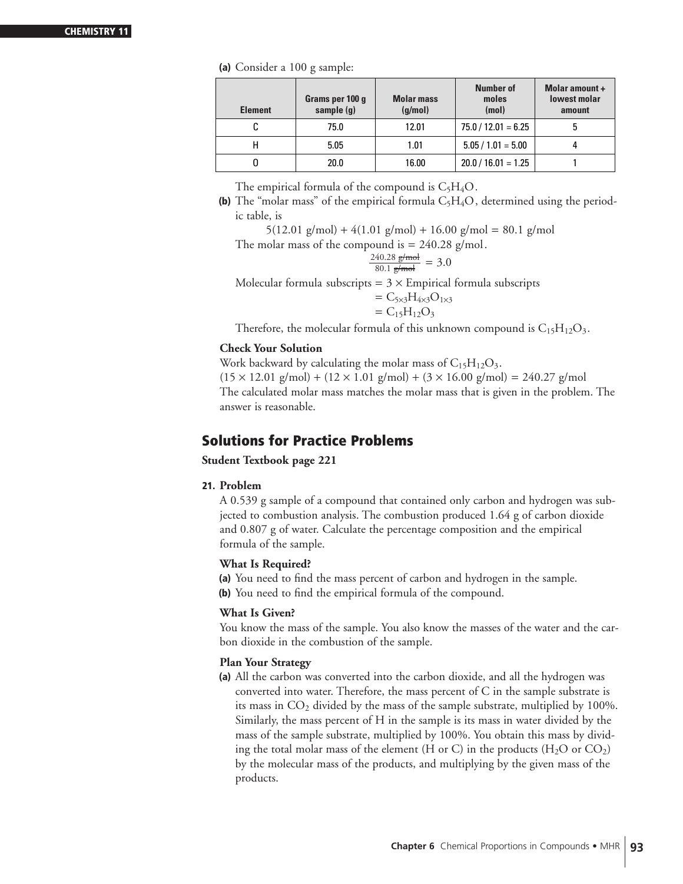#### **CHEMISTRY 1**

#### **(a)** Consider a 100 g sample:

| <b>Element</b> | Grams per 100 g<br>sample (g) | <b>Molar mass</b><br>(q/mol) | Number of<br>moles<br>(mol) | Molar amount +<br><b>lowest molar</b><br>amount |
|----------------|-------------------------------|------------------------------|-----------------------------|-------------------------------------------------|
|                | 75.0                          | 12.01                        | $75.0 / 12.01 = 6.25$       |                                                 |
| н              | 5.05                          | 1.01                         | $5.05 / 1.01 = 5.00$        |                                                 |
|                | 20.0                          | 16.00                        | $20.0 / 16.01 = 1.25$       |                                                 |

The empirical formula of the compound is  $C_5H_4O$ .

**(b)** The "molar mass" of the empirical formula  $C_5H_4O$ , determined using the periodic table, is

 $5(12.01 \text{ g/mol}) + 4(1.01 \text{ g/mol}) + 16.00 \text{ g/mol} = 80.1 \text{ g/mol}$ 

The molar mass of the compound is  $= 240.28$  g/mol.

$$
\frac{240.28 \text{ g/mol}}{80.1 \text{ g/mol}} = 3.0
$$

Molecular formula subscripts =  $3 \times$  Empirical formula subscripts

$$
= C_{5\times 3}H_{4\times 3}O_{1\times 3}
$$
  
= C<sub>15</sub>H<sub>12</sub>O<sub>3</sub>

Therefore, the molecular formula of this unknown compound is  $C_{15}H_{12}O_3$ .

# **Check Your Solution**

Work backward by calculating the molar mass of  $C_{15}H_{12}O_3$ .  $(15 \times 12.01 \text{ g/mol}) + (12 \times 1.01 \text{ g/mol}) + (3 \times 16.00 \text{ g/mol}) = 240.27 \text{ g/mol}$ The calculated molar mass matches the molar mass that is given in the problem. The answer is reasonable.

# **Solutions for Practice Problems**

# **Student Textbook page 221**

# **21. Problem**

A 0.539 g sample of a compound that contained only carbon and hydrogen was subjected to combustion analysis. The combustion produced 1.64 g of carbon dioxide and 0.807 g of water. Calculate the percentage composition and the empirical formula of the sample.

# **What Is Required?**

**(a)** You need to find the mass percent of carbon and hydrogen in the sample. **(b)** You need to find the empirical formula of the compound.

# **What Is Given?**

You know the mass of the sample. You also know the masses of the water and the carbon dioxide in the combustion of the sample.

# **Plan Your Strategy**

**(a)** All the carbon was converted into the carbon dioxide, and all the hydrogen was converted into water. Therefore, the mass percent of C in the sample substrate is its mass in  $CO<sub>2</sub>$  divided by the mass of the sample substrate, multiplied by 100%. Similarly, the mass percent of H in the sample is its mass in water divided by the mass of the sample substrate, multiplied by 100%. You obtain this mass by dividing the total molar mass of the element (H or C) in the products ( $H_2O$  or  $CO_2$ ) by the molecular mass of the products, and multiplying by the given mass of the products.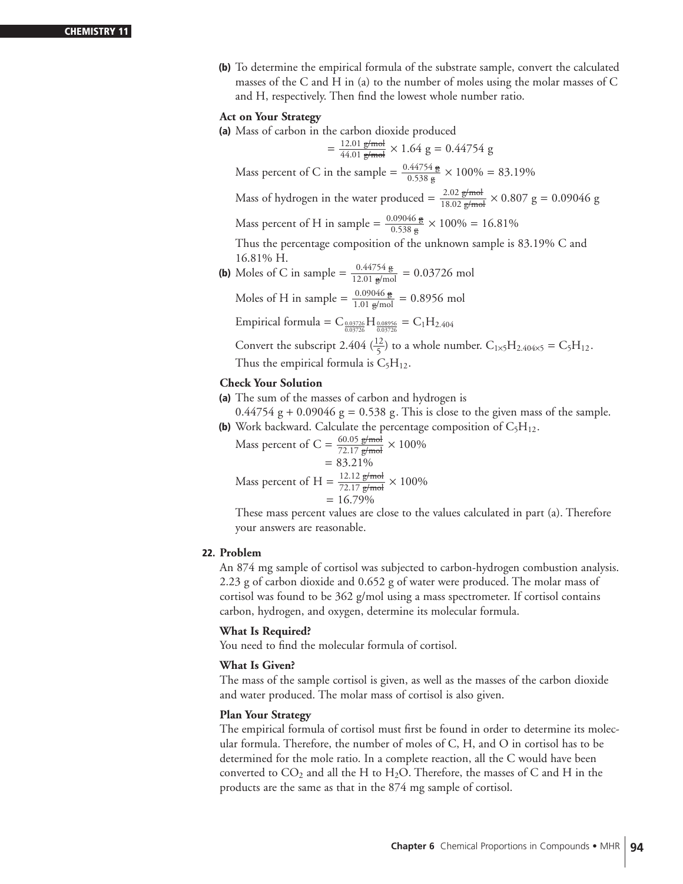**(b)** To determine the empirical formula of the substrate sample, convert the calculated masses of the C and H in (a) to the number of moles using the molar masses of C and H, respectively. Then find the lowest whole number ratio.

# **Act on Your Strategy**

**(a)** Mass of carbon in the carbon dioxide produced

$$
= \frac{12.01 \text{ g/mol}}{44.01 \text{ g/mol}} \times 1.64 \text{ g} = 0.44754 \text{ g}
$$

Mass percent of C in the sample =  $\frac{0.44754 \text{ g}}{0.538 \text{ g}} \times 100\% = 83.19\%$ Mass of hydrogen in the water produced =  $\frac{2.02 \text{ g/mol}}{18.02 \text{ g/mol}} \times 0.807 \text{ g} = 0.09046 \text{ g}$ 

Mass percent of H in sample =  $\frac{0.09046 \text{ g}}{0.538 \text{ g}} \times 100\% = 16.81\%$ 

Thus the percentage composition of the unknown sample is 83.19% C and 16.81% H.

**(b)** Moles of C in sample =  $\frac{0.44754 \text{ g}}{12.01 \text{ g/mol}}$  = 0.03726 mol

Moles of H in sample =  $\frac{0.09046 \text{ g}}{1.01 \text{ g/mol}}$  = 0.8956 mol

Empirical formula =  $C_{\frac{0.03726}{0.03726}}H_{\frac{0.08956}{0.03726}} = C_1H_{2.404}$ 

Convert the subscript 2.404  $(\frac{12}{5})$  to a whole number.  $C_{1\times 5}H_{2.404\times 5} = C_5H_{12}$ . Thus the empirical formula is  $C_5H_{12}$ .

# **Check Your Solution**

**(a)** The sum of the masses of carbon and hydrogen is

 $0.44754$  g + 0.09046 g = 0.538 g. This is close to the given mass of the sample. **(b)** Work backward. Calculate the percentage composition of  $C_5H_{12}$ .

Mass percent of C = 
$$
\frac{60.05 \text{ g/mol}}{72.17 \text{ g/mol}} \times 100\%
$$
  
= 83.21%  
Mass percent of H = 
$$
\frac{12.12 \text{ g/mol}}{72.17 \text{ g/mol}} \times 100\%
$$
  
= 16.79%

These mass percent values are close to the values calculated in part (a). Therefore your answers are reasonable.

# **22. Problem**

An 874 mg sample of cortisol was subjected to carbon-hydrogen combustion analysis. 2.23 g of carbon dioxide and 0.652 g of water were produced. The molar mass of cortisol was found to be 362 g/mol using a mass spectrometer. If cortisol contains carbon, hydrogen, and oxygen, determine its molecular formula.

# **What Is Required?**

You need to find the molecular formula of cortisol.

# **What Is Given?**

The mass of the sample cortisol is given, as well as the masses of the carbon dioxide and water produced. The molar mass of cortisol is also given.

# **Plan Your Strategy**

The empirical formula of cortisol must first be found in order to determine its molecular formula. Therefore, the number of moles of C, H, and O in cortisol has to be determined for the mole ratio. In a complete reaction, all the C would have been converted to  $CO_2$  and all the H to H<sub>2</sub>O. Therefore, the masses of C and H in the products are the same as that in the 874 mg sample of cortisol.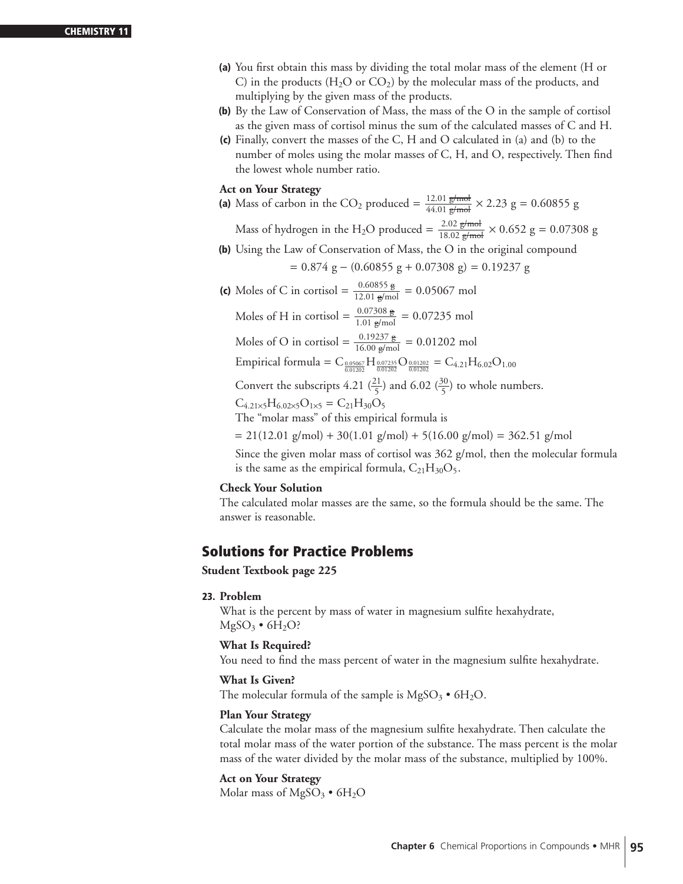- **(a)** You first obtain this mass by dividing the total molar mass of the element (H or C) in the products (H<sub>2</sub>O or CO<sub>2</sub>) by the molecular mass of the products, and multiplying by the given mass of the products.
- **(b)** By the Law of Conservation of Mass, the mass of the O in the sample of cortisol as the given mass of cortisol minus the sum of the calculated masses of C and H.
- **(c)** Finally, convert the masses of the C, H and O calculated in (a) and (b) to the number of moles using the molar masses of C, H, and O, respectively. Then find the lowest whole number ratio.

# **Act on Your Strategy**

(a) Mass of carbon in the CO<sub>2</sub> produced =  $\frac{12.01 \text{ g/mol}}{44.01 \text{ g/mol}} \times 2.23 \text{ g} = 0.60855 \text{ g}$ 

Mass of hydrogen in the H<sub>2</sub>O produced =  $\frac{2.02 \text{ g/mol}}{18.02 \text{ g/mol}} \times 0.652 \text{ g} = 0.07308 \text{ g}$ 

**(b)** Using the Law of Conservation of Mass, the O in the original compound

$$
= 0.874 g - (0.60855 g + 0.07308 g) = 0.19237 g
$$

**(c)** Moles of C in cortisol =  $\frac{0.60855 \text{ g}}{12.01 \text{ g/mol}}$  = 0.05067 mol Moles of H in cortisol =  $\frac{0.07308 \text{ g}}{1.01 \text{ g/mol}} = 0.07235 \text{ mol}$ Moles of O in cortisol =  $\frac{0.19237 \text{ g}}{16.00 \text{ g/mol}}$  = 0.01202 mol Empirical formula =  $C_{\frac{0.05067}{0.01202}}H_{\frac{0.07235}{0.01202}}O_{\frac{0.01202}{0.01202}} = C_{4.21}H_{6.02}O_{1.00}$ 

Convert the subscripts 4.21  $\left(\frac{21}{5}\right)$  and 6.02  $\left(\frac{30}{5}\right)$  to whole numbers.

 $C_{4.21\times5}H_{6.02\times5}O_{1\times5}=C_{21}H_{30}O_5$ 

The "molar mass" of this empirical formula is

 $= 21(12.01 \text{ g/mol}) + 30(1.01 \text{ g/mol}) + 5(16.00 \text{ g/mol}) = 362.51 \text{ g/mol}$ 

Since the given molar mass of cortisol was 362 g/mol, then the molecular formula is the same as the empirical formula,  $C_{21}H_{30}O_5$ .

# **Check Your Solution**

The calculated molar masses are the same, so the formula should be the same. The answer is reasonable.

# **Solutions for Practice Problems**

**Student Textbook page 225**

# **23. Problem**

What is the percent by mass of water in magnesium sulfite hexahydrate,  $MgSO_3 \bullet 6H_2O?$ 

# **What Is Required?**

You need to find the mass percent of water in the magnesium sulfite hexahydrate.

# **What Is Given?**

The molecular formula of the sample is  $MgSO_3 \bullet 6H_2O$ .

# **Plan Your Strategy**

Calculate the molar mass of the magnesium sulfite hexahydrate. Then calculate the total molar mass of the water portion of the substance. The mass percent is the molar mass of the water divided by the molar mass of the substance, multiplied by 100%.

# **Act on Your Strategy**

Molar mass of  $MgSO_3 \bullet 6H_2O$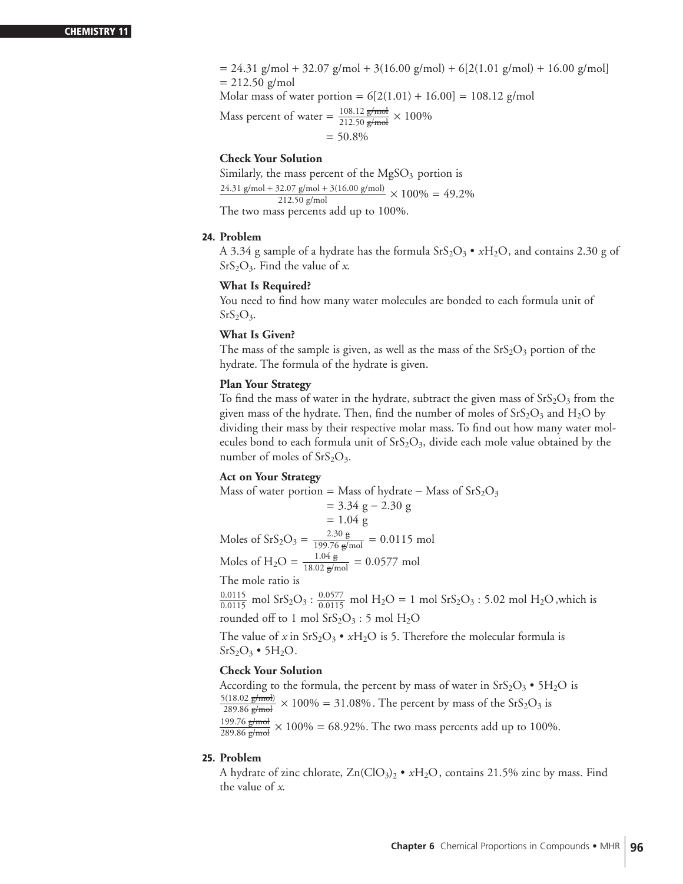$= 24.31$  g/mol + 32.07 g/mol + 3(16.00 g/mol) + 6[2(1.01 g/mol) + 16.00 g/mol]  $= 212.50$  g/mol

Molar mass of water portion =  $6[2(1.01) + 16.00] = 108.12$  g/mol

Mass percent of water =  $\frac{108.12 \text{ g/mol}}{212.50 \text{ g/mol}} \times 100\%$ 

 $= 50.8\%$ 

#### **Check Your Solution**

Similarly, the mass percent of the  $MgSO<sub>3</sub>$  portion is

 $\frac{24.31 \text{ g/mol} + 32.07 \text{ g/mol} + 3(16.00 \text{ g/mol})}{212.50 \text{ g/mol}} \times 100\% = 49.2\%$ 

The two mass percents add up to 100%.

# **24. Problem**

A 3.34 g sample of a hydrate has the formula  $SrS<sub>2</sub>O<sub>3</sub> \cdot xH<sub>2</sub>O$ , and contains 2.30 g of SrS2O3. Find the value of *x*.

#### **What Is Required?**

You need to find how many water molecules are bonded to each formula unit of  $SrS<sub>2</sub>O<sub>3</sub>$ .

#### **What Is Given?**

The mass of the sample is given, as well as the mass of the  $SrS<sub>2</sub>O<sub>3</sub>$  portion of the hydrate. The formula of the hydrate is given.

# **Plan Your Strategy**

To find the mass of water in the hydrate, subtract the given mass of  $SrS<sub>2</sub>O<sub>3</sub>$  from the given mass of the hydrate. Then, find the number of moles of  $SrS<sub>2</sub>O<sub>3</sub>$  and  $H<sub>2</sub>O$  by dividing their mass by their respective molar mass. To find out how many water molecules bond to each formula unit of  $SrS<sub>2</sub>O<sub>3</sub>$ , divide each mole value obtained by the number of moles of  $SrS<sub>2</sub>O<sub>3</sub>$ .

# **Act on Your Strategy**

Mass of water portion = Mass of hydrate – Mass of SrS<sub>2</sub>O<sub>3</sub>  
\n= 3.34 g – 2.30 g  
\n= 1.04 g  
\nMoles of SrS<sub>2</sub>O<sub>3</sub> = 
$$
\frac{2.30 \text{ g}}{199.76 \text{ g/mol}} = 0.0115 \text{ mol}
$$
  
\nMoles of H<sub>2</sub>O =  $\frac{1.04 \text{ g}}{18.02 \text{ g/mol}} = 0.0577 \text{ mol}$   
\nThe mole ratio is  
\n $\frac{0.0115}{0.0115}$  mol SrS<sub>2</sub>O<sub>3</sub> :  $\frac{0.0577}{0.0115}$  mol H<sub>2</sub>O = 1 mol SrS<sub>2</sub>O<sub>3</sub> : 5.02 mol H<sub>2</sub>O, which is  
\nrounded off to 1 mol SrS<sub>2</sub>O<sub>3</sub> : 5 mol H<sub>2</sub>O

The value of *x* in SrS<sub>2</sub>O<sub>3</sub> • *x*H<sub>2</sub>O is 5. Therefore the molecular formula is  $SrS<sub>2</sub>O<sub>3</sub> • 5H<sub>2</sub>O.$ 

# **Check Your Solution**

According to the formula, the percent by mass of water in  $SrS<sub>2</sub>O<sub>3</sub> • 5H<sub>2</sub>O$  is  $\frac{5(18.02 \text{ g/mol}}{289.86 \text{ g/mol}} \times 100\% = 31.08\%$ . The percent by mass of the SrS<sub>2</sub>O<sub>3</sub> is  $\frac{199.76 \text{ g/mol}}{289.86 \text{ g/mol}} \times 100\% = 68.92\%.$  The two mass percents add up to 100%.

#### **25. Problem**

A hydrate of zinc chlorate,  $Zn(CIO_3)_2 \bullet xH_2O$ , contains 21.5% zinc by mass. Find the value of *x*.